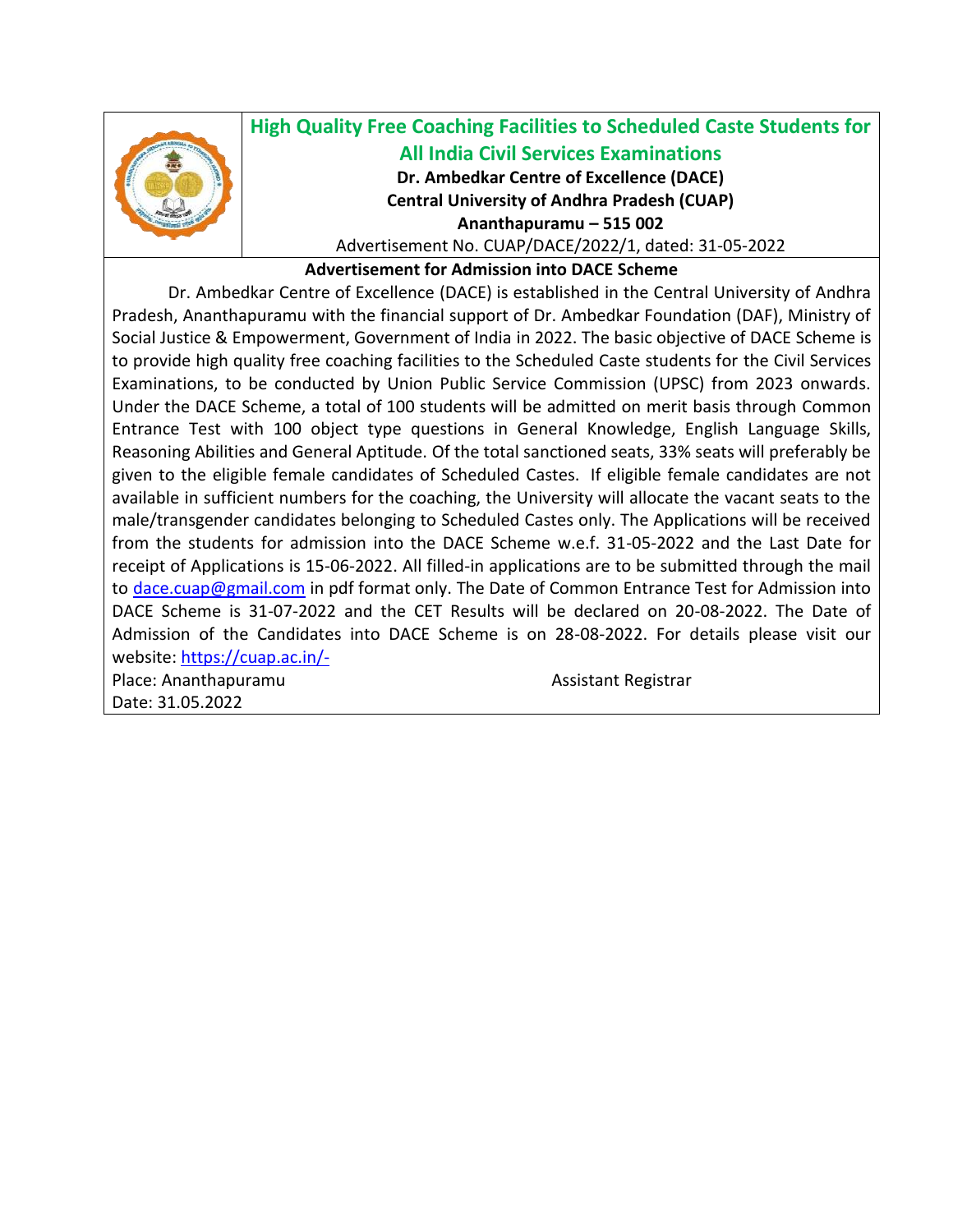

## **High Quality Free Coaching Facilities to Scheduled Caste Students for All India Civil Services Examinations Dr. Ambedkar Centre of Excellence (DACE) Central University of Andhra Pradesh (CUAP) Ananthapuramu – 515 002**

Advertisement No. CUAP/DACE/2022/1, dated: 31-05-2022

**Advertisement for Admission into DACE Scheme**

Dr. Ambedkar Centre of Excellence (DACE) is established in the Central University of Andhra Pradesh, Ananthapuramu with the financial support of Dr. Ambedkar Foundation (DAF), Ministry of Social Justice & Empowerment, Government of India in 2022. The basic objective of DACE Scheme is to provide high quality free coaching facilities to the Scheduled Caste students for the Civil Services Examinations, to be conducted by Union Public Service Commission (UPSC) from 2023 onwards. Under the DACE Scheme, a total of 100 students will be admitted on merit basis through Common Entrance Test with 100 object type questions in General Knowledge, English Language Skills, Reasoning Abilities and General Aptitude. Of the total sanctioned seats, 33% seats will preferably be given to the eligible female candidates of Scheduled Castes. If eligible female candidates are not available in sufficient numbers for the coaching, the University will allocate the vacant seats to the male/transgender candidates belonging to Scheduled Castes only. The Applications will be received from the students for admission into the DACE Scheme w.e.f. 31-05-2022 and the Last Date for receipt of Applications is 15-06-2022. All filled-in applications are to be submitted through the mail to [dace.cuap@gmail.com](mailto:dace.cuap@gmail.com) in pdf format only. The Date of Common Entrance Test for Admission into DACE Scheme is 31-07-2022 and the CET Results will be declared on 20-08-2022. The Date of Admission of the Candidates into DACE Scheme is on 28-08-2022. For details please visit our website:<https://cuap.ac.in/->

Place: Ananthapuramu Assistant Registrar Date: 31.05.2022